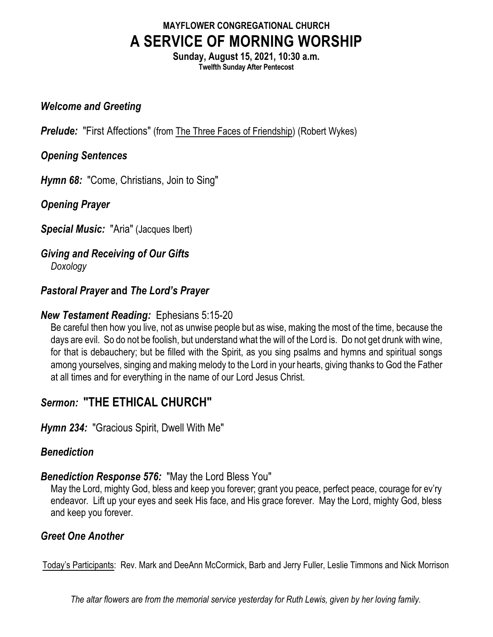# **MAYFLOWER CONGREGATIONAL CHURCH A SERVICE OF MORNING WORSHIP**

**Sunday, August 15, 2021, 10:30 a.m. Twelfth Sunday After Pentecost**

#### *Welcome and Greeting*

**Prelude:** "First Affections" (from The Three Faces of Friendship) (Robert Wykes)

#### *Opening Sentences*

*Hymn 68:* "Come, Christians, Join to Sing"

*Opening Prayer*

*Special Music:* "Aria" (Jacques Ibert)

# *Giving and Receiving of Our Gifts*

*Doxology*

# *Pastoral Prayer* **and** *The Lord's Prayer*

#### *New Testament Reading:* Ephesians 5:15-20

Be careful then how you live, not as unwise people but as wise, making the most of the time, because the days are evil. So do not be foolish, but understand what the will of the Lord is. Do not get drunk with wine, for that is debauchery; but be filled with the Spirit, as you sing psalms and hymns and spiritual songs among yourselves, singing and making melody to the Lord in your hearts, giving thanks to God the Father at all times and for everything in the name of our Lord Jesus Christ.

# *Sermon:* **"THE ETHICAL CHURCH"**

*Hymn 234:* "Gracious Spirit, Dwell With Me"

# *Benediction*

# *Benediction Response 576:* "May the Lord Bless You"

May the Lord, mighty God, bless and keep you forever; grant you peace, perfect peace, courage for ev'ry endeavor. Lift up your eyes and seek His face, and His grace forever. May the Lord, mighty God, bless and keep you forever.

# *Greet One Another*

Today's Participants: Rev. Mark and DeeAnn McCormick, Barb and Jerry Fuller, Leslie Timmons and Nick Morrison

*The altar flowers are from the memorial service yesterday for Ruth Lewis, given by her loving family.*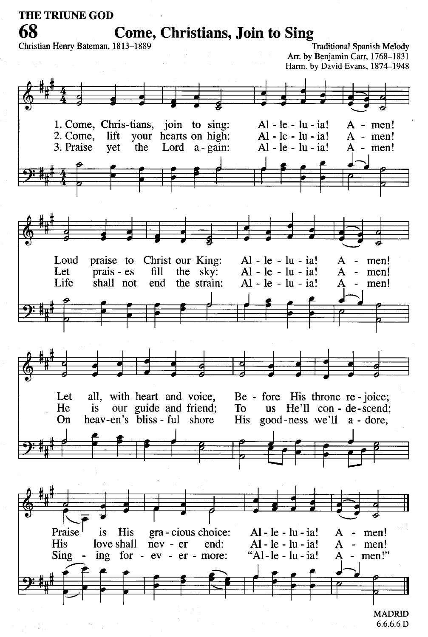**THE TRIUNE GOD** 68

**Come, Christians, Join to Sing** 

Christian Henry Bateman, 1813-1889

**Traditional Spanish Melody** Arr. by Benjamin Carr, 1768-1831 Harm. by David Evans, 1874-1948



 $6.6.6.6 D$